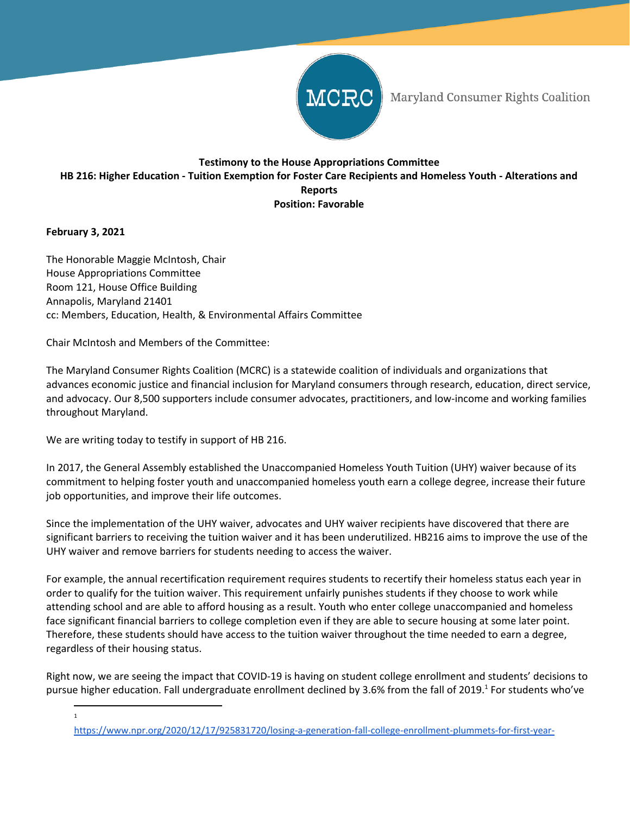

Maryland Consumer Rights Coalition

## **Testimony to the House Appropriations Committee** HB 216: Higher Education - Tuition Exemption for Foster Care Recipients and Homeless Youth - Alterations and **Reports Position: Favorable**

## **February 3, 2021**

The Honorable Maggie McIntosh, Chair House Appropriations Committee Room 121, House Office Building Annapolis, Maryland 21401 cc: Members, Education, Health, & Environmental Affairs Committee

Chair McIntosh and Members of the Committee:

The Maryland Consumer Rights Coalition (MCRC) is a statewide coalition of individuals and organizations that advances economic justice and financial inclusion for Maryland consumers through research, education, direct service, and advocacy. Our 8,500 supporters include consumer advocates, practitioners, and low-income and working families throughout Maryland.

We are writing today to testify in support of HB 216.

In 2017, the General Assembly established the Unaccompanied Homeless Youth Tuition (UHY) waiver because of its commitment to helping foster youth and unaccompanied homeless youth earn a college degree, increase their future job opportunities, and improve their life outcomes.

Since the implementation of the UHY waiver, advocates and UHY waiver recipients have discovered that there are significant barriers to receiving the tuition waiver and it has been underutilized. HB216 aims to improve the use of the UHY waiver and remove barriers for students needing to access the waiver.

For example, the annual recertification requirement requires students to recertify their homeless status each year in order to qualify for the tuition waiver. This requirement unfairly punishes students if they choose to work while attending school and are able to afford housing as a result. Youth who enter college unaccompanied and homeless face significant financial barriers to college completion even if they are able to secure housing at some later point. Therefore, these students should have access to the tuition waiver throughout the time needed to earn a degree, regardless of their housing status.

Right now, we are seeing the impact that COVID-19 is having on student college enrollment and students' decisions to pursue higher education. Fall undergraduate enrollment declined by 3.6% from the fall of 2019.<sup>1</sup> For students who've

1

[https://www.npr.org/2020/12/17/925831720/losing-a-generation-fall-college-enrollment-plummets-for-first-year-](https://www.npr.org/2020/12/17/925831720/losing-a-generation-fall-college-enrollment-plummets-for-first-year-students)